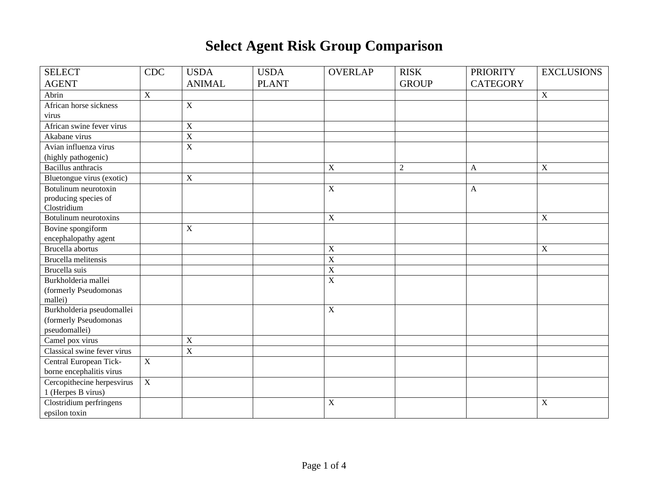## **Select Agent Risk Group Comparison**

| <b>SELECT</b>               | <b>CDC</b>     | <b>USDA</b>    | <b>USDA</b>  | <b>OVERLAP</b> | <b>RISK</b>    | <b>PRIORITY</b> | <b>EXCLUSIONS</b> |
|-----------------------------|----------------|----------------|--------------|----------------|----------------|-----------------|-------------------|
| <b>AGENT</b>                |                | <b>ANIMAL</b>  | <b>PLANT</b> |                | <b>GROUP</b>   | <b>CATEGORY</b> |                   |
| Abrin                       | $\overline{X}$ |                |              |                |                |                 | $\mathbf X$       |
| African horse sickness      |                | $\mathbf X$    |              |                |                |                 |                   |
| virus                       |                |                |              |                |                |                 |                   |
| African swine fever virus   |                | $\mathbf X$    |              |                |                |                 |                   |
| Akabane virus               |                | $\mathbf X$    |              |                |                |                 |                   |
| Avian influenza virus       |                | $\overline{X}$ |              |                |                |                 |                   |
| (highly pathogenic)         |                |                |              |                |                |                 |                   |
| <b>Bacillus</b> anthracis   |                |                |              | X              | $\overline{2}$ | A               | $\mathbf X$       |
| Bluetongue virus (exotic)   |                | $\mathbf X$    |              |                |                |                 |                   |
| Botulinum neurotoxin        |                |                |              | $\mathbf X$    |                | $\mathbf{A}$    |                   |
| producing species of        |                |                |              |                |                |                 |                   |
| Clostridium                 |                |                |              |                |                |                 |                   |
| Botulinum neurotoxins       |                |                |              | $\overline{X}$ |                |                 | $\mathbf X$       |
| Bovine spongiform           |                | $\mathbf X$    |              |                |                |                 |                   |
| encephalopathy agent        |                |                |              |                |                |                 |                   |
| Brucella abortus            |                |                |              | $\mathbf X$    |                |                 | $\mathbf X$       |
| <b>Brucella</b> melitensis  |                |                |              | $\overline{X}$ |                |                 |                   |
| Brucella suis               |                |                |              | $\overline{X}$ |                |                 |                   |
| Burkholderia mallei         |                |                |              | X              |                |                 |                   |
| (formerly Pseudomonas       |                |                |              |                |                |                 |                   |
| mallei)                     |                |                |              |                |                |                 |                   |
| Burkholderia pseudomallei   |                |                |              | $\mathbf X$    |                |                 |                   |
| (formerly Pseudomonas       |                |                |              |                |                |                 |                   |
| pseudomallei)               |                |                |              |                |                |                 |                   |
| Camel pox virus             |                | $\mathbf X$    |              |                |                |                 |                   |
| Classical swine fever virus |                | $\overline{X}$ |              |                |                |                 |                   |
| Central European Tick-      | $\overline{X}$ |                |              |                |                |                 |                   |
| borne encephalitis virus    |                |                |              |                |                |                 |                   |
| Cercopithecine herpesvirus  | $\overline{X}$ |                |              |                |                |                 |                   |
| 1 (Herpes B virus)          |                |                |              |                |                |                 |                   |
| Clostridium perfringens     |                |                |              | X              |                |                 | $\mathbf X$       |
| epsilon toxin               |                |                |              |                |                |                 |                   |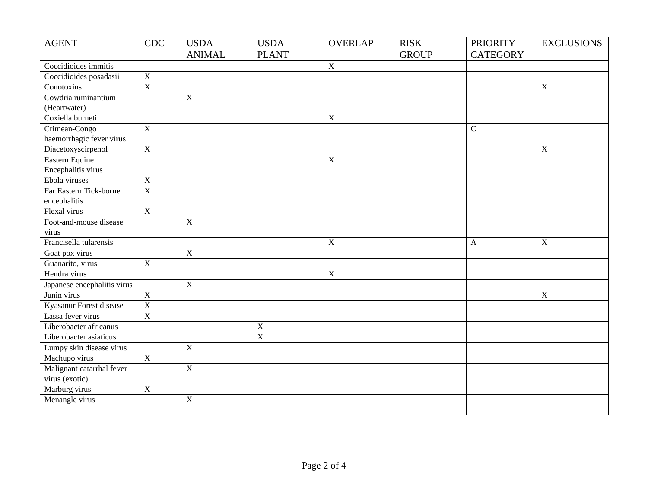| <b>AGENT</b>                | <b>CDC</b>              | <b>USDA</b>    | <b>USDA</b>    | <b>OVERLAP</b> | <b>RISK</b>  | <b>PRIORITY</b> | <b>EXCLUSIONS</b>         |
|-----------------------------|-------------------------|----------------|----------------|----------------|--------------|-----------------|---------------------------|
|                             |                         | <b>ANIMAL</b>  | <b>PLANT</b>   |                | <b>GROUP</b> | <b>CATEGORY</b> |                           |
| Coccidioides immitis        |                         |                |                | X              |              |                 |                           |
| Coccidioides posadasii      | $\overline{X}$          |                |                |                |              |                 |                           |
| Conotoxins                  | $\overline{X}$          |                |                |                |              |                 | X                         |
| Cowdria ruminantium         |                         | $\mathbf X$    |                |                |              |                 |                           |
| (Heartwater)                |                         |                |                |                |              |                 |                           |
| Coxiella burnetii           |                         |                |                | $\mathbf X$    |              |                 |                           |
| Crimean-Congo               | $\overline{X}$          |                |                |                |              | $\mathsf C$     |                           |
| haemorrhagic fever virus    |                         |                |                |                |              |                 |                           |
| Diacetoxyscirpenol          | $\overline{\textbf{X}}$ |                |                |                |              |                 | $\boldsymbol{X}$          |
| Eastern Equine              |                         |                |                | $\mathbf X$    |              |                 |                           |
| Encephalitis virus          |                         |                |                |                |              |                 |                           |
| Ebola viruses               | $\mathbf X$             |                |                |                |              |                 |                           |
| Far Eastern Tick-borne      | $\overline{X}$          |                |                |                |              |                 |                           |
| encephalitis                |                         |                |                |                |              |                 |                           |
| Flexal virus                | $\overline{X}$          |                |                |                |              |                 |                           |
| Foot-and-mouse disease      |                         | $\overline{X}$ |                |                |              |                 |                           |
| virus                       |                         |                |                |                |              |                 |                           |
| Francisella tularensis      |                         |                |                | X              |              | $\mathbf{A}$    | X                         |
| Goat pox virus              |                         | $\mathbf X$    |                |                |              |                 |                           |
| Guanarito, virus            | $\overline{X}$          |                |                |                |              |                 |                           |
| Hendra virus                |                         |                |                | $\overline{X}$ |              |                 |                           |
| Japanese encephalitis virus |                         | $\overline{X}$ |                |                |              |                 |                           |
| Junin virus                 | $\overline{X}$          |                |                |                |              |                 | $\boldsymbol{\mathrm{X}}$ |
| Kyasanur Forest disease     | $\overline{X}$          |                |                |                |              |                 |                           |
| Lassa fever virus           | $\overline{X}$          |                |                |                |              |                 |                           |
| Liberobacter africanus      |                         |                | X              |                |              |                 |                           |
| Liberobacter asiaticus      |                         |                | $\overline{X}$ |                |              |                 |                           |
| Lumpy skin disease virus    |                         | $\mathbf X$    |                |                |              |                 |                           |
| Machupo virus               | $\overline{X}$          |                |                |                |              |                 |                           |
| Malignant catarrhal fever   |                         | $\overline{X}$ |                |                |              |                 |                           |
| virus (exotic)              |                         |                |                |                |              |                 |                           |
| Marburg virus               | $\mathbf X$             |                |                |                |              |                 |                           |
| Menangle virus              |                         | $\mathbf X$    |                |                |              |                 |                           |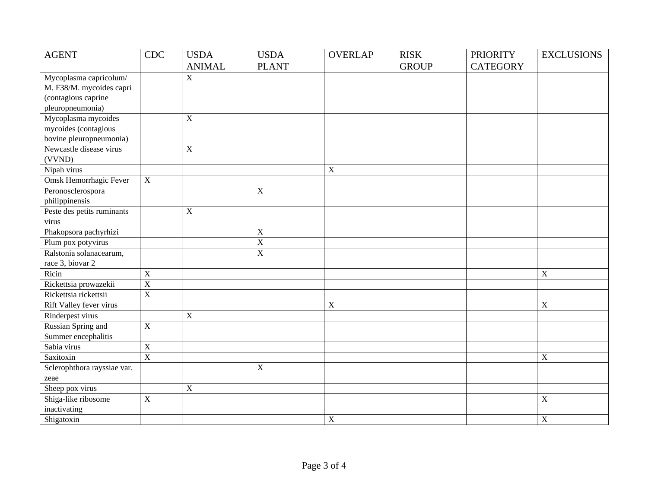| <b>AGENT</b>                | <b>CDC</b>              | <b>USDA</b>    | <b>USDA</b>    | <b>OVERLAP</b>            | <b>RISK</b>  | <b>PRIORITY</b> | <b>EXCLUSIONS</b> |
|-----------------------------|-------------------------|----------------|----------------|---------------------------|--------------|-----------------|-------------------|
|                             |                         | <b>ANIMAL</b>  | <b>PLANT</b>   |                           | <b>GROUP</b> | <b>CATEGORY</b> |                   |
| Mycoplasma capricolum/      |                         | $\overline{X}$ |                |                           |              |                 |                   |
| M. F38/M. mycoides capri    |                         |                |                |                           |              |                 |                   |
| (contagious caprine         |                         |                |                |                           |              |                 |                   |
| pleuropneumonia)            |                         |                |                |                           |              |                 |                   |
| Mycoplasma mycoides         |                         | $\overline{X}$ |                |                           |              |                 |                   |
| mycoides (contagious        |                         |                |                |                           |              |                 |                   |
| bovine pleuropneumonia)     |                         |                |                |                           |              |                 |                   |
| Newcastle disease virus     |                         | $\overline{X}$ |                |                           |              |                 |                   |
| (VVND)                      |                         |                |                |                           |              |                 |                   |
| Nipah virus                 |                         |                |                | $\boldsymbol{\mathrm{X}}$ |              |                 |                   |
| Omsk Hemorrhagic Fever      | $\mathbf X$             |                |                |                           |              |                 |                   |
| Peronosclerospora           |                         |                | $\mathbf X$    |                           |              |                 |                   |
| philippinensis              |                         |                |                |                           |              |                 |                   |
| Peste des petits ruminants  |                         | $\overline{X}$ |                |                           |              |                 |                   |
| virus                       |                         |                |                |                           |              |                 |                   |
| Phakopsora pachyrhizi       |                         |                | $\mathbf X$    |                           |              |                 |                   |
| Plum pox potyvirus          |                         |                | $\mathbf X$    |                           |              |                 |                   |
| Ralstonia solanacearum,     |                         |                | $\overline{X}$ |                           |              |                 |                   |
| race 3, biovar 2            |                         |                |                |                           |              |                 |                   |
| Ricin                       | $\overline{X}$          |                |                |                           |              |                 | $\overline{X}$    |
| Rickettsia prowazekii       | $\overline{\textbf{X}}$ |                |                |                           |              |                 |                   |
| Rickettsia rickettsii       | $\overline{\text{X}}$   |                |                |                           |              |                 |                   |
| Rift Valley fever virus     |                         |                |                | $\boldsymbol{\mathrm{X}}$ |              |                 | $\mathbf X$       |
| Rinderpest virus            |                         | $\overline{X}$ |                |                           |              |                 |                   |
| Russian Spring and          | $\overline{X}$          |                |                |                           |              |                 |                   |
| Summer encephalitis         |                         |                |                |                           |              |                 |                   |
| Sabia virus                 | $\overline{X}$          |                |                |                           |              |                 |                   |
| Saxitoxin                   | $\overline{X}$          |                |                |                           |              |                 | $\mathbf X$       |
| Sclerophthora rayssiae var. |                         |                | $\mathbf X$    |                           |              |                 |                   |
| zeae                        |                         |                |                |                           |              |                 |                   |
| Sheep pox virus             |                         | $\overline{X}$ |                |                           |              |                 |                   |
| Shiga-like ribosome         | $\overline{X}$          |                |                |                           |              |                 | $\overline{X}$    |
| inactivating                |                         |                |                |                           |              |                 |                   |
| Shigatoxin                  |                         |                |                | X                         |              |                 | $\mathbf X$       |